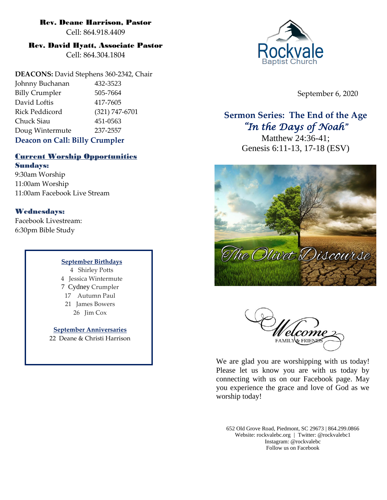#### Rev. Deane Harrison, Pastor

Cell: 864.918.4409

### Rev. David Hyatt, Associate Pastor

Cell: 864.304.1804

**DEACONS:** David Stephens 360-2342, Chair Johnny Buchanan 432-3523 Billy Crumpler 505-7664 David Loftis 417-7605 Rick Peddicord (321) 747-6701 Chuck Siau 451-0563 Doug Wintermute 237-2557 **Deacon on Call: Billy Crumpler**

## Current Worship Opportunities

Sundays: 9:30am Worship 11:00am Worship 11:00am Facebook Live Stream

## Wednesdays:

Facebook Livestream: 6:30pm Bible Study

#### **September Birthdays**

4 Shirley Potts 4 Jessica Wintermute 7 Cydney Crumpler 17 Autumn Paul 21 James Bowers 26 Jim Cox

**September Anniversaries** 22 Deane & Christi Harrison



September 6, 2020

## **Sermon Series: The End of the Age** *"In the Days of Noah"*

Matthew 24:36-41; Genesis 6:11-13, 17-18 (ESV)





We are glad you are worshipping with us today! Please let us know you are with us today by connecting with us on our Facebook page. May you experience the grace and love of God as we worship today!

652 Old Grove Road, Piedmont, SC 29673 | 864.299.0866 Website: rockvalebc.org *|* Twitter: @rockvalebc1 Instagram: @rockvalebc Follow us on Facebook